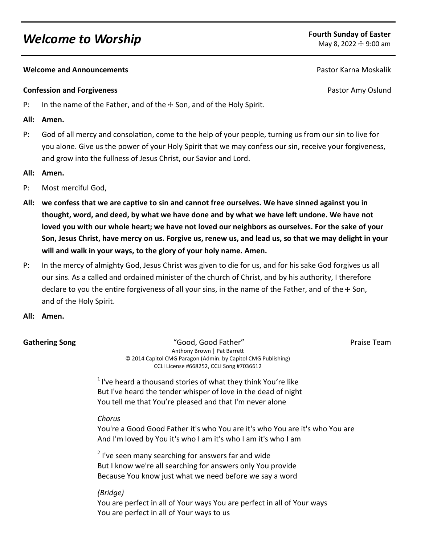# *Welcome to Worship* **Fourth Sunday of Easter**<br> **Example 2022 + 9:00 am**

## **Melcome and Announcements Pastor Karna Moskalik Pastor Karna Moskalik Pastor Karna Moskalik**

### **Confession and Forgiveness Confession and Forgiveness Pastor Amy Oslund**

- P: In the name of the Father, and of the  $\pm$  Son, and of the Holy Spirit.
- **All: Amen.**
- P: God of all mercy and consolation, come to the help of your people, turning us from our sin to live for you alone. Give us the power of your Holy Spirit that we may confess our sin, receive your forgiveness, and grow into the fullness of Jesus Christ, our Savior and Lord.
- **All: Amen.**
- P: Most merciful God,
- **All: we confess that we are captive to sin and cannot free ourselves. We have sinned against you in thought, word, and deed, by what we have done and by what we have left undone. We have not loved you with our whole heart; we have not loved our neighbors as ourselves. For the sake of your Son, Jesus Christ, have mercy on us. Forgive us, renew us, and lead us, so that we may delight in your will and walk in your ways, to the glory of your holy name. Amen.**
- P: In the mercy of almighty God, Jesus Christ was given to die for us, and for his sake God forgives us all our sins. As a called and ordained minister of the church of Christ, and by his authority, I therefore declare to you the entire forgiveness of all your sins, in the name of the Father, and of the  $+$  Son, and of the Holy Spirit.
- **All: Amen.**

**Gathering Song The Cool Cool Cool Cool Father"** The Cool Praise Team Praise Team Anthony Brown | Pat Barrett © 2014 Capitol CMG Paragon (Admin. by Capitol CMG Publishing) CCLI License #668252, CCLI Song #7036612

 $1$ I've heard a thousand stories of what they think You're like But I've heard the tender whisper of love in the dead of night You tell me that You're pleased and that I'm never alone

# *Chorus*

You're a Good Good Father it's who You are it's who You are it's who You are And I'm loved by You it's who I am it's who I am it's who I am

 $2$  I've seen many searching for answers far and wide But I know we're all searching for answers only You provide Because You know just what we need before we say a word

# *(Bridge)*

You are perfect in all of Your ways You are perfect in all of Your ways You are perfect in all of Your ways to us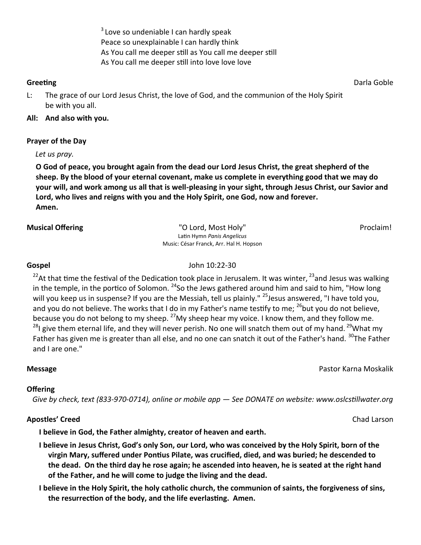$3$  Love so undeniable I can hardly speak Peace so unexplainable I can hardly think As You call me deeper still as You call me deeper still As You call me deeper still into love love love

**Greeting** Darla Goble

L: The grace of our Lord Jesus Christ, the love of God, and the communion of the Holy Spirit be with you all.

# **All: And also with you.**

# **Prayer of the Day**

*Let us pray.*

**O God of peace, you brought again from the dead our Lord Jesus Christ, the great shepherd of the sheep. By the blood of your eternal covenant, make us complete in everything good that we may do your will, and work among us all that is well-pleasing in your sight, through Jesus Christ, our Savior and Lord, who lives and reigns with you and the Holy Spirit, one God, now and forever. Amen.**

**Musical Offering The Contemporal Contemporal Contemporal Contemporal Contemporal Contemporal Contemporal Proclaim!** Latin Hymn *Panis Angelicus* Music: César Franck, Arr. Hal H. Hopson

**Gospel** John 10:22-30

<sup>22</sup>At that time the festival of the Dedication took place in Jerusalem. It was winter,  $^{23}$ and Jesus was walking in the temple, in the portico of Solomon.  $24$ So the Jews gathered around him and said to him, "How long will you keep us in suspense? If you are the Messiah, tell us plainly." <sup>25</sup> Jesus answered, "I have told you, and you do not believe. The works that I do in my Father's name testify to me;  $^{26}$ but you do not believe, because you do not belong to my sheep.  $^{27}$ My sheep hear my voice. I know them, and they follow me. <sup>28</sup>I give them eternal life, and they will never perish. No one will snatch them out of my hand. <sup>29</sup>What my Father has given me is greater than all else, and no one can snatch it out of the Father's hand. <sup>30</sup>The Father and I are one."

# **Message** Pastor Karna Moskalik

# **Offering**

 *Give by check, text (833-970-0714), online or mobile app — See DONATE on website: www.oslcstillwater.org*

# **Apostles' Creed** Channel Chad Larson Chad Larson Chad Larson Chad Larson Chad Larson Chad Larson Chad Larson Chad Larson Chad Larson Chad Larson Chad Larson Chad Larson Chad Larson Chad Larson Chad Larson Chad Larson Chad

**I believe in God, the Father almighty, creator of heaven and earth.** 

- **I believe in Jesus Christ, God's only Son, our Lord, who was conceived by the Holy Spirit, born of the virgin Mary, suffered under Pontius Pilate, was crucified, died, and was buried; he descended to the dead. On the third day he rose again; he ascended into heaven, he is seated at the right hand of the Father, and he will come to judge the living and the dead.**
- **I believe in the Holy Spirit, the holy catholic church, the communion of saints, the forgiveness of sins, the resurrection of the body, and the life everlasting. Amen.**